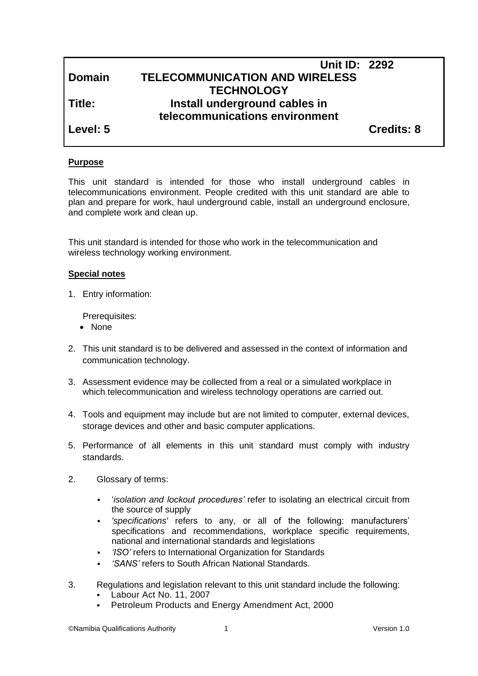|               | <b>Unit ID: 2292</b>                  |                   |
|---------------|---------------------------------------|-------------------|
| <b>Domain</b> | <b>TELECOMMUNICATION AND WIRELESS</b> |                   |
|               | <b>TECHNOLOGY</b>                     |                   |
| Title:        | Install underground cables in         |                   |
|               | telecommunications environment        |                   |
| Level: 5      |                                       | <b>Credits: 8</b> |

## **Purpose**

This unit standard is intended for those who install underground cables in telecommunications environment. People credited with this unit standard are able to plan and prepare for work, haul underground cable, install an underground enclosure, and complete work and clean up.

This unit standard is intended for those who work in the telecommunication and wireless technology working environment.

#### **Special notes**

1. Entry information:

Prerequisites:

- None
- 2. This unit standard is to be delivered and assessed in the context of information and communication technology.
- 3. Assessment evidence may be collected from a real or a simulated workplace in which telecommunication and wireless technology operations are carried out.
- 4. Tools and equipment may include but are not limited to computer, external devices, storage devices and other and basic computer applications.
- 5. Performance of all elements in this unit standard must comply with industry standards.
- 2. Glossary of terms:
	- '*isolation and lockout procedures'* refer to isolating an electrical circuit from the source of supply
	- *'specifications'* refers to any, or all of the following: manufacturers' specifications and recommendations, workplace specific requirements, national and international standards and legislations
	- *'ISO'* refers to International Organization for Standards
	- *'SANS'* refers to South African National Standards.
- 3. Regulations and legislation relevant to this unit standard include the following:
	- Labour Act No. 11, 2007
	- **Petroleum Products and Energy Amendment Act, 2000**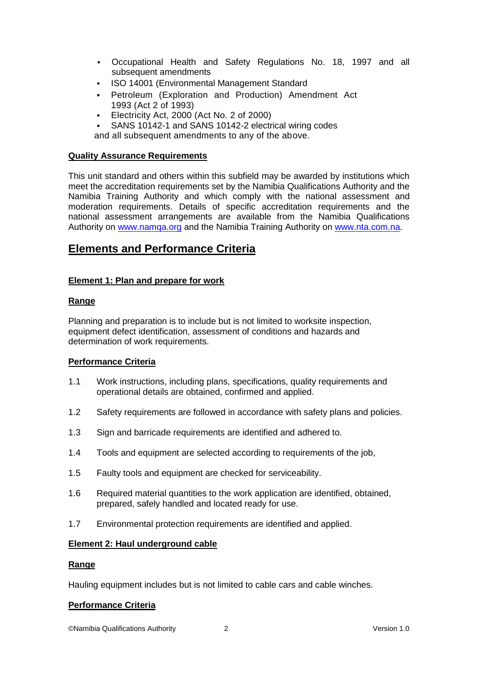- Occupational Health and Safety Regulations No. 18, 1997 and all subsequent amendments
- ISO 14001 (Environmental Management Standard
- Petroleum (Exploration and Production) Amendment Act 1993 (Act 2 of 1993)
- Electricity Act, 2000 (Act No. 2 of 2000)
- SANS 10142-1 and SANS 10142-2 electrical wiring codes

and all subsequent amendments to any of the above.

#### **Quality Assurance Requirements**

This unit standard and others within this subfield may be awarded by institutions which meet the accreditation requirements set by the Namibia Qualifications Authority and the Namibia Training Authority and which comply with the national assessment and moderation requirements. Details of specific accreditation requirements and the national assessment arrangements are available from the Namibia Qualifications Authority on [www.namqa.org](http://www.namqa.org/) and the Namibia Training Authority on [www.nta.com.na.](http://www.nta.com.na/)

# **Elements and Performance Criteria**

## **Element 1: Plan and prepare for work**

## **Range**

Planning and preparation is to include but is not limited to worksite inspection, equipment defect identification, assessment of conditions and hazards and determination of work requirements.

## **Performance Criteria**

- 1.1 Work instructions, including plans, specifications, quality requirements and operational details are obtained, confirmed and applied.
- 1.2 Safety requirements are followed in accordance with safety plans and policies.
- 1.3 Sign and barricade requirements are identified and adhered to.
- 1.4 Tools and equipment are selected according to requirements of the job,
- 1.5 Faulty tools and equipment are checked for serviceability.
- 1.6 Required material quantities to the work application are identified, obtained, prepared, safely handled and located ready for use.
- 1.7 Environmental protection requirements are identified and applied.

## **Element 2: Haul underground cable**

## **Range**

Hauling equipment includes but is not limited to cable cars and cable winches.

## **Performance Criteria**

©Namibia Qualifications Authority 2 Version 1.0